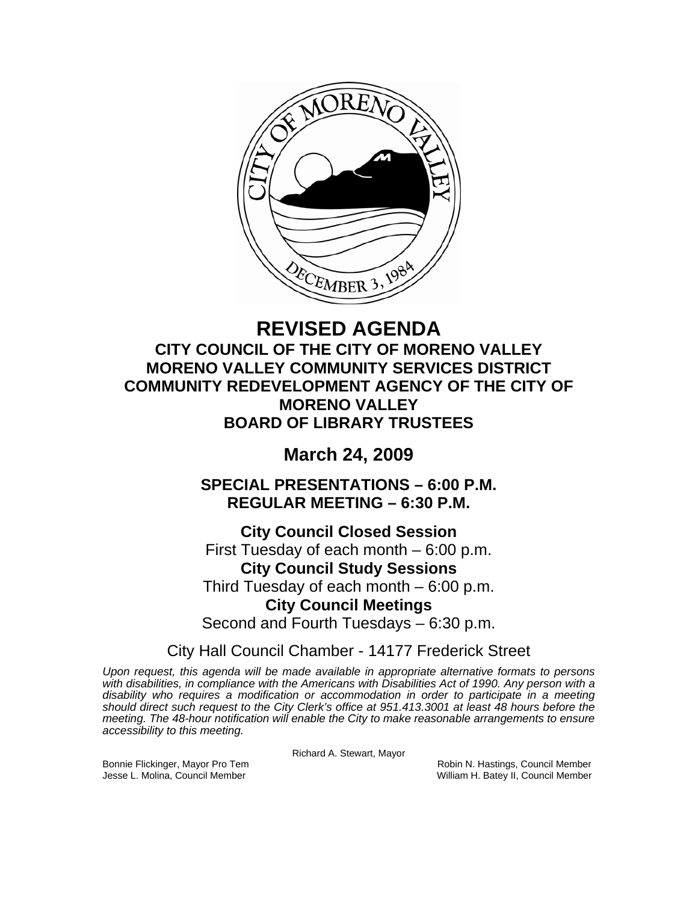

# **REVISED AGENDA CITY COUNCIL OF THE CITY OF MORENO VALLEY MORENO VALLEY COMMUNITY SERVICES DISTRICT COMMUNITY REDEVELOPMENT AGENCY OF THE CITY OF MORENO VALLEY BOARD OF LIBRARY TRUSTEES**

# **March 24, 2009**

**SPECIAL PRESENTATIONS – 6:00 P.M. REGULAR MEETING – 6:30 P.M.** 

**City Council Closed Session**  First Tuesday of each month – 6:00 p.m. **City Council Study Sessions**  Third Tuesday of each month – 6:00 p.m. **City Council Meetings**  Second and Fourth Tuesdays – 6:30 p.m.

City Hall Council Chamber - 14177 Frederick Street

*Upon request, this agenda will be made available in appropriate alternative formats to persons with disabilities, in compliance with the Americans with Disabilities Act of 1990. Any person with a disability who requires a modification or accommodation in order to participate in a meeting should direct such request to the City Clerk's office at 951.413.3001 at least 48 hours before the meeting. The 48-hour notification will enable the City to make reasonable arrangements to ensure accessibility to this meeting.* 

Richard A. Stewart, Mayor

Bonnie Flickinger, Mayor Pro Tem **Robin Accompanyies Council Member** Robin N. Hastings, Council Member Jesse L. Molina, Council Member William H. Batey II, Council Member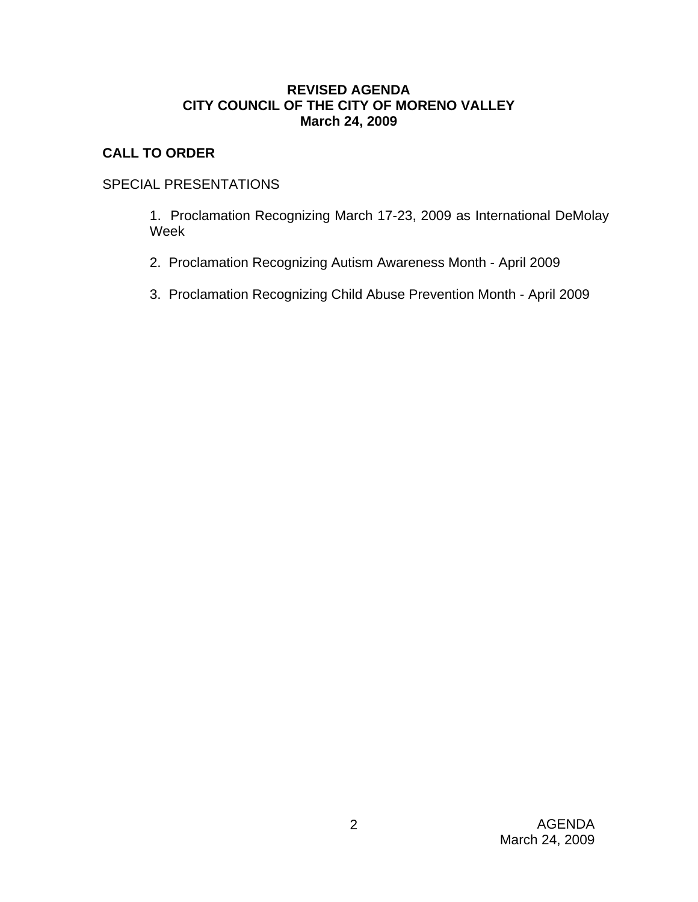# **REVISED AGENDA CITY COUNCIL OF THE CITY OF MORENO VALLEY March 24, 2009**

# **CALL TO ORDER**

# SPECIAL PRESENTATIONS

 1. Proclamation Recognizing March 17-23, 2009 as International DeMolay Week

- 2. Proclamation Recognizing Autism Awareness Month April 2009
- 3. Proclamation Recognizing Child Abuse Prevention Month April 2009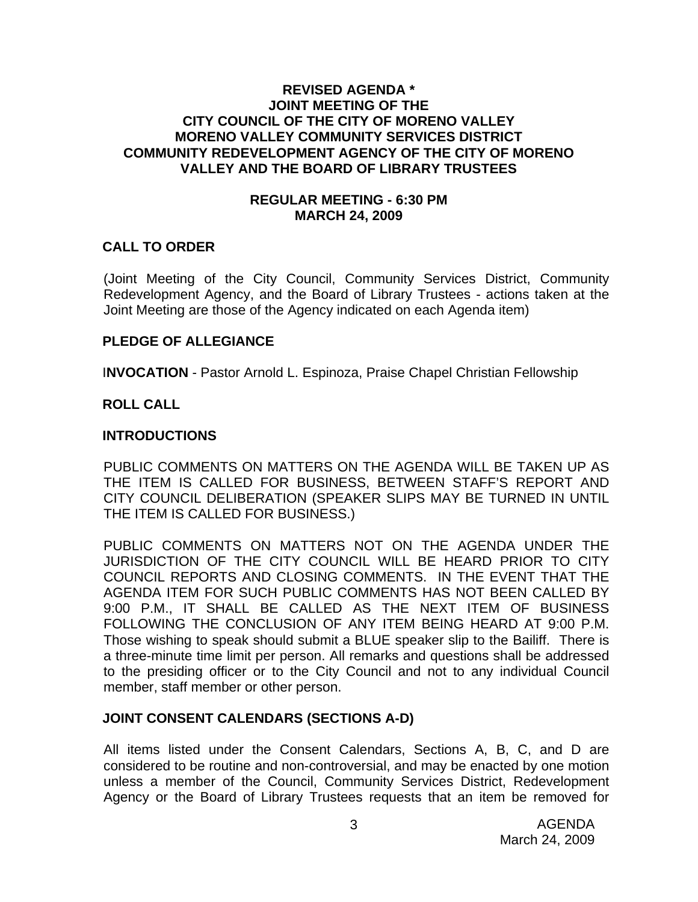# **REVISED AGENDA \* JOINT MEETING OF THE CITY COUNCIL OF THE CITY OF MORENO VALLEY MORENO VALLEY COMMUNITY SERVICES DISTRICT COMMUNITY REDEVELOPMENT AGENCY OF THE CITY OF MORENO VALLEY AND THE BOARD OF LIBRARY TRUSTEES**

### **REGULAR MEETING - 6:30 PM MARCH 24, 2009**

# **CALL TO ORDER**

(Joint Meeting of the City Council, Community Services District, Community Redevelopment Agency, and the Board of Library Trustees - actions taken at the Joint Meeting are those of the Agency indicated on each Agenda item)

### **PLEDGE OF ALLEGIANCE**

I**NVOCATION** - Pastor Arnold L. Espinoza, Praise Chapel Christian Fellowship

# **ROLL CALL**

### **INTRODUCTIONS**

PUBLIC COMMENTS ON MATTERS ON THE AGENDA WILL BE TAKEN UP AS THE ITEM IS CALLED FOR BUSINESS, BETWEEN STAFF'S REPORT AND CITY COUNCIL DELIBERATION (SPEAKER SLIPS MAY BE TURNED IN UNTIL THE ITEM IS CALLED FOR BUSINESS.)

PUBLIC COMMENTS ON MATTERS NOT ON THE AGENDA UNDER THE JURISDICTION OF THE CITY COUNCIL WILL BE HEARD PRIOR TO CITY COUNCIL REPORTS AND CLOSING COMMENTS. IN THE EVENT THAT THE AGENDA ITEM FOR SUCH PUBLIC COMMENTS HAS NOT BEEN CALLED BY 9:00 P.M., IT SHALL BE CALLED AS THE NEXT ITEM OF BUSINESS FOLLOWING THE CONCLUSION OF ANY ITEM BEING HEARD AT 9:00 P.M. Those wishing to speak should submit a BLUE speaker slip to the Bailiff. There is a three-minute time limit per person. All remarks and questions shall be addressed to the presiding officer or to the City Council and not to any individual Council member, staff member or other person.

# **JOINT CONSENT CALENDARS (SECTIONS A-D)**

All items listed under the Consent Calendars, Sections A, B, C, and D are considered to be routine and non-controversial, and may be enacted by one motion unless a member of the Council, Community Services District, Redevelopment Agency or the Board of Library Trustees requests that an item be removed for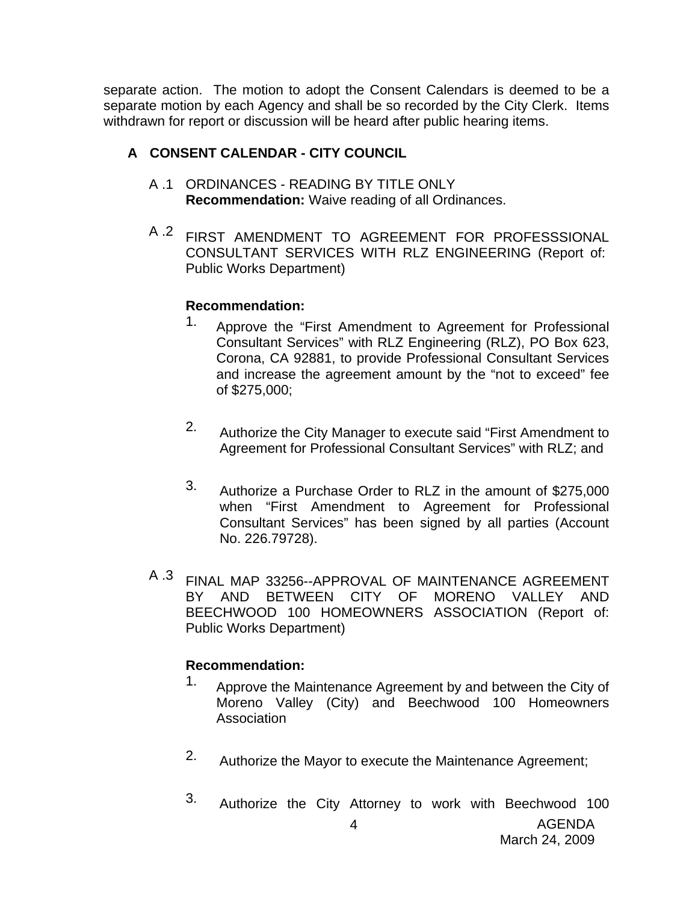separate action. The motion to adopt the Consent Calendars is deemed to be a separate motion by each Agency and shall be so recorded by the City Clerk. Items withdrawn for report or discussion will be heard after public hearing items.

# **A CONSENT CALENDAR - CITY COUNCIL**

- A .1 ORDINANCES READING BY TITLE ONLY **Recommendation:** Waive reading of all Ordinances.
- A .2 FIRST AMENDMENT TO AGREEMENT FOR PROFESSSIONAL CONSULTANT SERVICES WITH RLZ ENGINEERING (Report of: Public Works Department)

# **Recommendation:**

- 1. Approve the "First Amendment to Agreement for Professional Consultant Services" with RLZ Engineering (RLZ), PO Box 623, Corona, CA 92881, to provide Professional Consultant Services and increase the agreement amount by the "not to exceed" fee of \$275,000;
- 2. Authorize the City Manager to execute said "First Amendment to Agreement for Professional Consultant Services" with RLZ; and
- 3. Authorize a Purchase Order to RLZ in the amount of \$275,000 when "First Amendment to Agreement for Professional Consultant Services" has been signed by all parties (Account No. 226.79728).
- A .3 FINAL MAP 33256--APPROVAL OF MAINTENANCE AGREEMENT BY AND BETWEEN CITY OF MORENO VALLEY AND BEECHWOOD 100 HOMEOWNERS ASSOCIATION (Report of: Public Works Department)

- 1. Approve the Maintenance Agreement by and between the City of Moreno Valley (City) and Beechwood 100 Homeowners Association
- 2. Authorize the Mayor to execute the Maintenance Agreement;
- 3. Authorize the City Attorney to work with Beechwood 100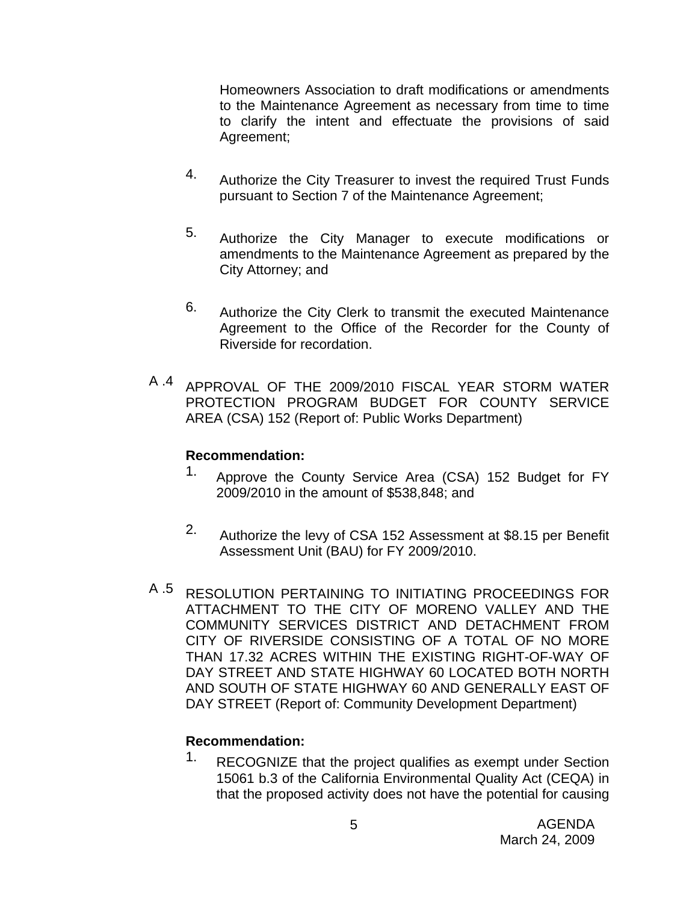Homeowners Association to draft modifications or amendments to the Maintenance Agreement as necessary from time to time to clarify the intent and effectuate the provisions of said Agreement;

- 4. Authorize the City Treasurer to invest the required Trust Funds pursuant to Section 7 of the Maintenance Agreement;
- 5. Authorize the City Manager to execute modifications or amendments to the Maintenance Agreement as prepared by the City Attorney; and
- 6. Authorize the City Clerk to transmit the executed Maintenance Agreement to the Office of the Recorder for the County of Riverside for recordation.
- A .4 APPROVAL OF THE 2009/2010 FISCAL YEAR STORM WATER PROTECTION PROGRAM BUDGET FOR COUNTY SERVICE AREA (CSA) 152 (Report of: Public Works Department)

# **Recommendation:**

- 1. Approve the County Service Area (CSA) 152 Budget for FY 2009/2010 in the amount of \$538,848; and
- 2. Authorize the levy of CSA 152 Assessment at \$8.15 per Benefit Assessment Unit (BAU) for FY 2009/2010.
- A .5 RESOLUTION PERTAINING TO INITIATING PROCEEDINGS FOR ATTACHMENT TO THE CITY OF MORENO VALLEY AND THE COMMUNITY SERVICES DISTRICT AND DETACHMENT FROM CITY OF RIVERSIDE CONSISTING OF A TOTAL OF NO MORE THAN 17.32 ACRES WITHIN THE EXISTING RIGHT-OF-WAY OF DAY STREET AND STATE HIGHWAY 60 LOCATED BOTH NORTH AND SOUTH OF STATE HIGHWAY 60 AND GENERALLY EAST OF DAY STREET (Report of: Community Development Department)

# **Recommendation:**

<sup>1.</sup> RECOGNIZE that the project qualifies as exempt under Section 15061 b.3 of the California Environmental Quality Act (CEQA) in that the proposed activity does not have the potential for causing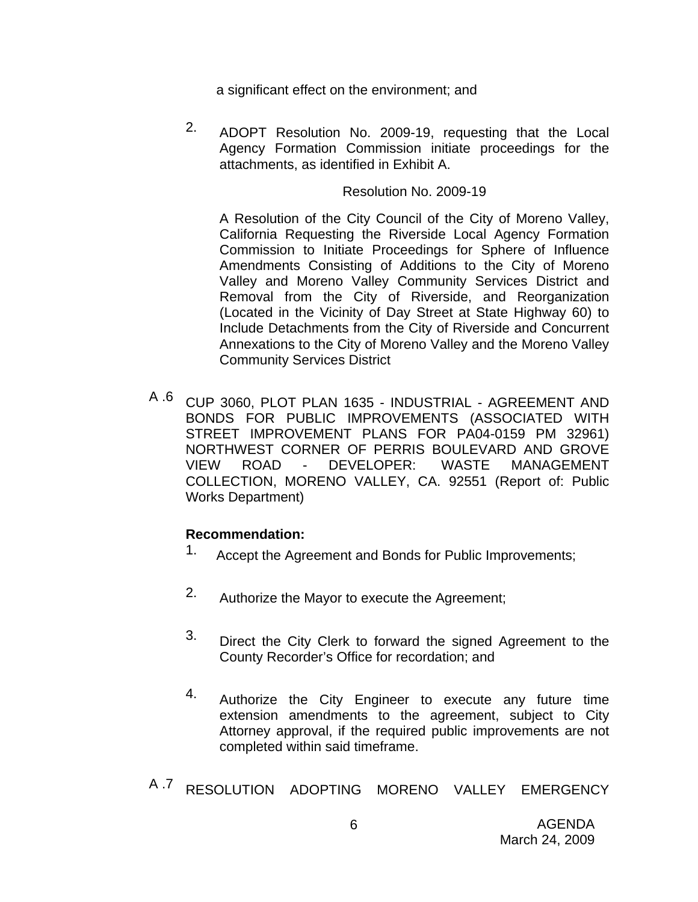a significant effect on the environment; and

2. ADOPT Resolution No. 2009-19, requesting that the Local Agency Formation Commission initiate proceedings for the attachments, as identified in Exhibit A.

### Resolution No. 2009-19

A Resolution of the City Council of the City of Moreno Valley, California Requesting the Riverside Local Agency Formation Commission to Initiate Proceedings for Sphere of Influence Amendments Consisting of Additions to the City of Moreno Valley and Moreno Valley Community Services District and Removal from the City of Riverside, and Reorganization (Located in the Vicinity of Day Street at State Highway 60) to Include Detachments from the City of Riverside and Concurrent Annexations to the City of Moreno Valley and the Moreno Valley Community Services District

A .6 CUP 3060, PLOT PLAN 1635 - INDUSTRIAL - AGREEMENT AND BONDS FOR PUBLIC IMPROVEMENTS (ASSOCIATED WITH STREET IMPROVEMENT PLANS FOR PA04-0159 PM 32961) NORTHWEST CORNER OF PERRIS BOULEVARD AND GROVE VIEW ROAD - DEVELOPER: WASTE MANAGEMENT COLLECTION, MORENO VALLEY, CA. 92551 (Report of: Public Works Department)

- 1. Accept the Agreement and Bonds for Public Improvements;
- 2. Authorize the Mayor to execute the Agreement;
- 3. Direct the City Clerk to forward the signed Agreement to the County Recorder's Office for recordation; and
- 4. Authorize the City Engineer to execute any future time extension amendments to the agreement, subject to City Attorney approval, if the required public improvements are not completed within said timeframe.
- A .7 RESOLUTION ADOPTING MORENO VALLEY EMERGENCY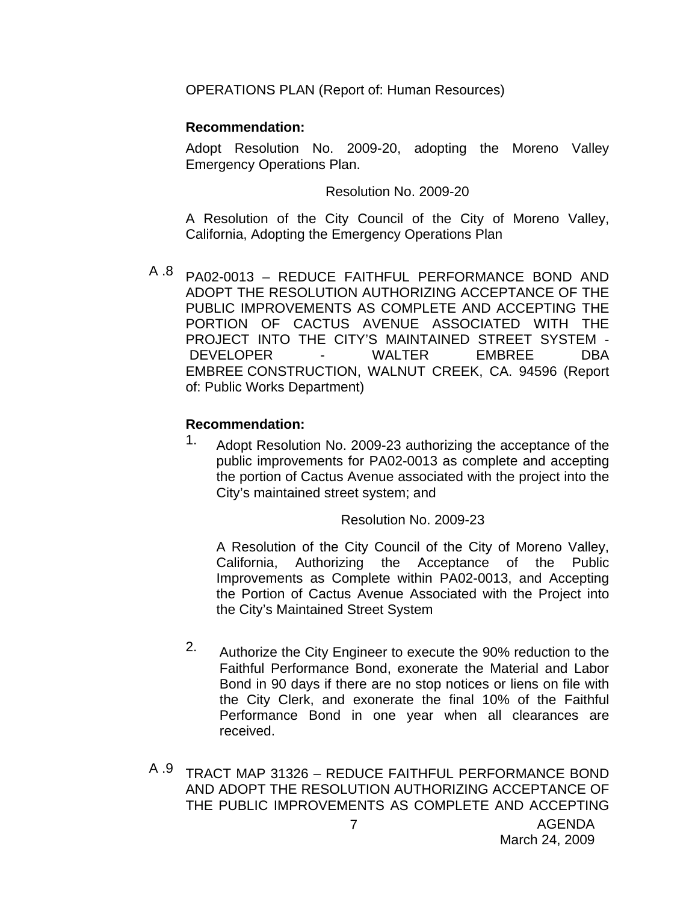OPERATIONS PLAN (Report of: Human Resources)

# **Recommendation:**

Adopt Resolution No. 2009-20, adopting the Moreno Valley Emergency Operations Plan.

Resolution No. 2009-20

A Resolution of the City Council of the City of Moreno Valley, California, Adopting the Emergency Operations Plan

A  $.8$  PA02-0013 - REDUCE FAITHFUL PERFORMANCE BOND AND ADOPT THE RESOLUTION AUTHORIZING ACCEPTANCE OF THE PUBLIC IMPROVEMENTS AS COMPLETE AND ACCEPTING THE PORTION OF CACTUS AVENUE ASSOCIATED WITH THE PROJECT INTO THE CITY'S MAINTAINED STREET SYSTEM - DEVELOPER - WALTER EMBREE DBA EMBREE CONSTRUCTION, WALNUT CREEK, CA. 94596 (Report of: Public Works Department)

# **Recommendation:**

1. Adopt Resolution No. 2009-23 authorizing the acceptance of the public improvements for PA02-0013 as complete and accepting the portion of Cactus Avenue associated with the project into the City's maintained street system; and

Resolution No. 2009-23

A Resolution of the City Council of the City of Moreno Valley, California, Authorizing the Acceptance of the Public Improvements as Complete within PA02-0013, and Accepting the Portion of Cactus Avenue Associated with the Project into the City's Maintained Street System

- 2. Authorize the City Engineer to execute the 90% reduction to the Faithful Performance Bond, exonerate the Material and Labor Bond in 90 days if there are no stop notices or liens on file with the City Clerk, and exonerate the final 10% of the Faithful Performance Bond in one year when all clearances are received.
- A .9 TRACT MAP 31326 REDUCE FAITHFUL PERFORMANCE BOND AND ADOPT THE RESOLUTION AUTHORIZING ACCEPTANCE OF THE PUBLIC IMPROVEMENTS AS COMPLETE AND ACCEPTING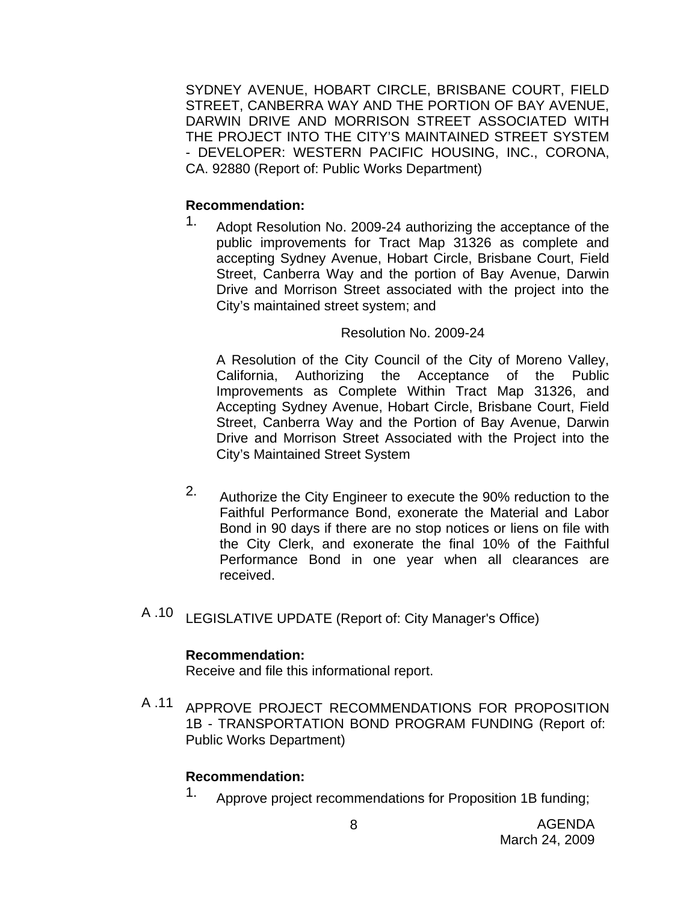SYDNEY AVENUE, HOBART CIRCLE, BRISBANE COURT, FIELD STREET, CANBERRA WAY AND THE PORTION OF BAY AVENUE, DARWIN DRIVE AND MORRISON STREET ASSOCIATED WITH THE PROJECT INTO THE CITY'S MAINTAINED STREET SYSTEM - DEVELOPER: WESTERN PACIFIC HOUSING, INC., CORONA, CA. 92880 (Report of: Public Works Department)

# **Recommendation:**

1. Adopt Resolution No. 2009-24 authorizing the acceptance of the public improvements for Tract Map 31326 as complete and accepting Sydney Avenue, Hobart Circle, Brisbane Court, Field Street, Canberra Way and the portion of Bay Avenue, Darwin Drive and Morrison Street associated with the project into the City's maintained street system; and

# Resolution No. 2009-24

A Resolution of the City Council of the City of Moreno Valley, California, Authorizing the Acceptance of the Public Improvements as Complete Within Tract Map 31326, and Accepting Sydney Avenue, Hobart Circle, Brisbane Court, Field Street, Canberra Way and the Portion of Bay Avenue, Darwin Drive and Morrison Street Associated with the Project into the City's Maintained Street System

- 2. Authorize the City Engineer to execute the 90% reduction to the Faithful Performance Bond, exonerate the Material and Labor Bond in 90 days if there are no stop notices or liens on file with the City Clerk, and exonerate the final 10% of the Faithful Performance Bond in one year when all clearances are received.
- A .10 LEGISLATIVE UPDATE (Report of: City Manager's Office)

# **Recommendation:**

Receive and file this informational report.

A .11 APPROVE PROJECT RECOMMENDATIONS FOR PROPOSITION 1B - TRANSPORTATION BOND PROGRAM FUNDING (Report of: Public Works Department)

# **Recommendation:**

1. Approve project recommendations for Proposition 1B funding;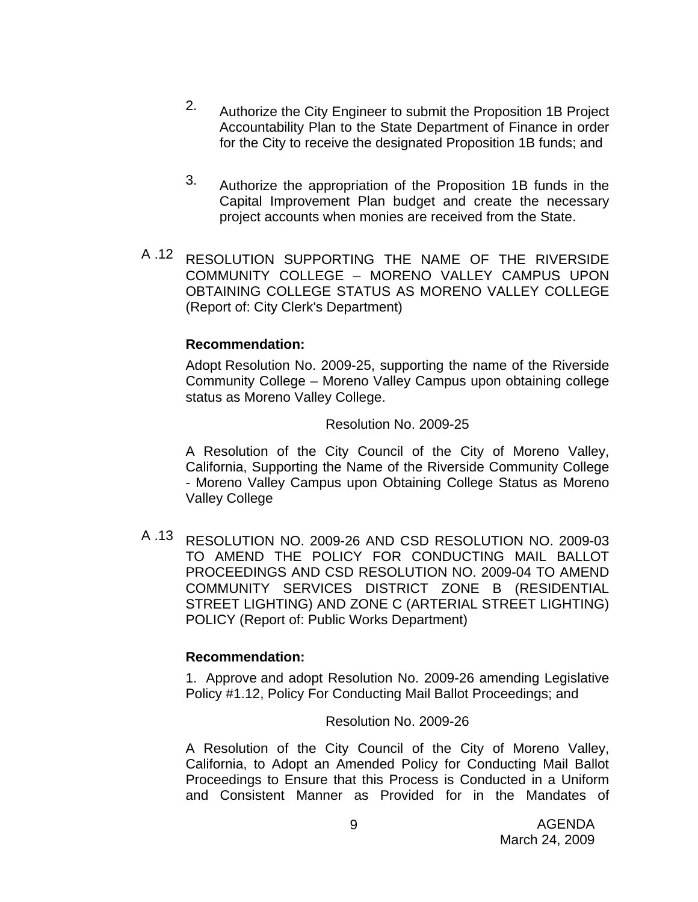- 2. Authorize the City Engineer to submit the Proposition 1B Project Accountability Plan to the State Department of Finance in order for the City to receive the designated Proposition 1B funds; and
- 3. Authorize the appropriation of the Proposition 1B funds in the Capital Improvement Plan budget and create the necessary project accounts when monies are received from the State.
- A .12 RESOLUTION SUPPORTING THE NAME OF THE RIVERSIDE COMMUNITY COLLEGE – MORENO VALLEY CAMPUS UPON OBTAINING COLLEGE STATUS AS MORENO VALLEY COLLEGE (Report of: City Clerk's Department)

### **Recommendation:**

Adopt Resolution No. 2009-25, supporting the name of the Riverside Community College – Moreno Valley Campus upon obtaining college status as Moreno Valley College.

### Resolution No. 2009-25

A Resolution of the City Council of the City of Moreno Valley, California, Supporting the Name of the Riverside Community College - Moreno Valley Campus upon Obtaining College Status as Moreno Valley College

A .13 RESOLUTION NO. 2009-26 AND CSD RESOLUTION NO. 2009-03 TO AMEND THE POLICY FOR CONDUCTING MAIL BALLOT PROCEEDINGS AND CSD RESOLUTION NO. 2009-04 TO AMEND COMMUNITY SERVICES DISTRICT ZONE B (RESIDENTIAL STREET LIGHTING) AND ZONE C (ARTERIAL STREET LIGHTING) POLICY (Report of: Public Works Department)

# **Recommendation:**

1. Approve and adopt Resolution No. 2009-26 amending Legislative Policy #1.12, Policy For Conducting Mail Ballot Proceedings; and

# Resolution No. 2009-26

A Resolution of the City Council of the City of Moreno Valley, California, to Adopt an Amended Policy for Conducting Mail Ballot Proceedings to Ensure that this Process is Conducted in a Uniform and Consistent Manner as Provided for in the Mandates of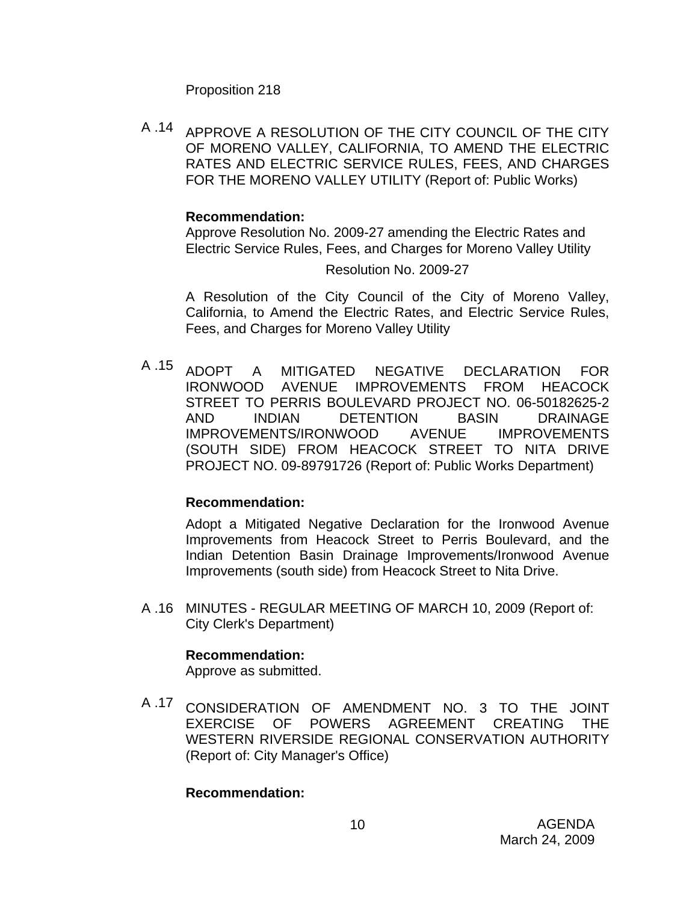Proposition 218

A .14 APPROVE A RESOLUTION OF THE CITY COUNCIL OF THE CITY OF MORENO VALLEY, CALIFORNIA, TO AMEND THE ELECTRIC RATES AND ELECTRIC SERVICE RULES, FEES, AND CHARGES FOR THE MORENO VALLEY UTILITY (Report of: Public Works)

### **Recommendation:**

Approve Resolution No. 2009-27 amending the Electric Rates and Electric Service Rules, Fees, and Charges for Moreno Valley Utility

Resolution No. 2009-27

A Resolution of the City Council of the City of Moreno Valley, California, to Amend the Electric Rates, and Electric Service Rules, Fees, and Charges for Moreno Valley Utility

A .15 ADOPT A MITIGATED NEGATIVE DECLARATION FOR IRONWOOD AVENUE IMPROVEMENTS FROM HEACOCK STREET TO PERRIS BOULEVARD PROJECT NO. 06-50182625-2 AND INDIAN DETENTION BASIN DRAINAGE IMPROVEMENTS/IRONWOOD AVENUE IMPROVEMENTS (SOUTH SIDE) FROM HEACOCK STREET TO NITA DRIVE PROJECT NO. 09-89791726 (Report of: Public Works Department)

# **Recommendation:**

Adopt a Mitigated Negative Declaration for the Ironwood Avenue Improvements from Heacock Street to Perris Boulevard, and the Indian Detention Basin Drainage Improvements/Ironwood Avenue Improvements (south side) from Heacock Street to Nita Drive.

A .16 MINUTES - REGULAR MEETING OF MARCH 10, 2009 (Report of: City Clerk's Department)

# **Recommendation:**

Approve as submitted.

A .17 CONSIDERATION OF AMENDMENT NO. 3 TO THE JOINT EXERCISE OF POWERS AGREEMENT CREATING THE WESTERN RIVERSIDE REGIONAL CONSERVATION AUTHORITY (Report of: City Manager's Office)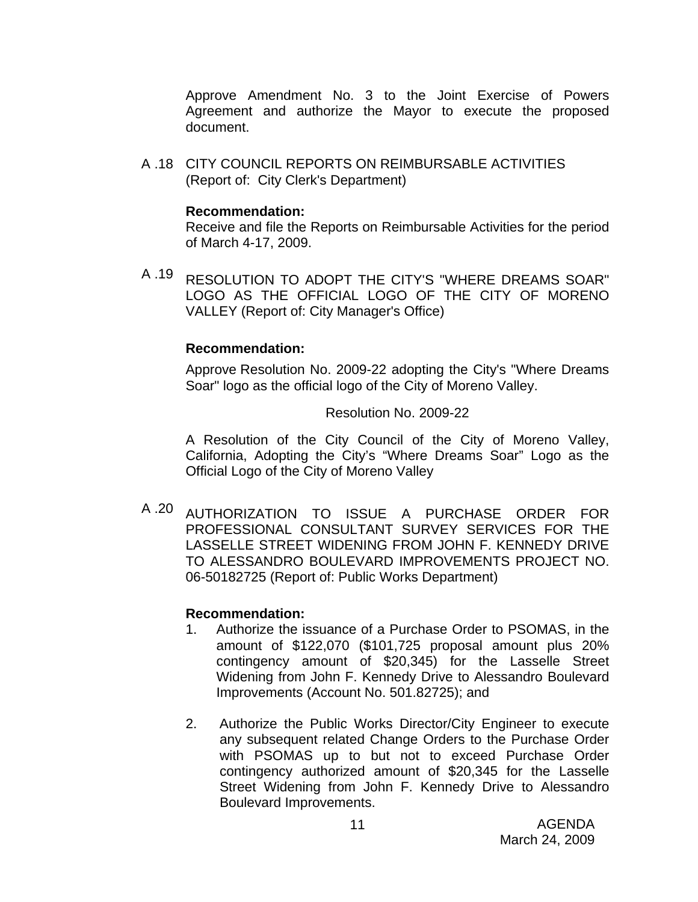Approve Amendment No. 3 to the Joint Exercise of Powers Agreement and authorize the Mayor to execute the proposed document.

A .18 CITY COUNCIL REPORTS ON REIMBURSABLE ACTIVITIES (Report of: City Clerk's Department)

#### **Recommendation:**

Receive and file the Reports on Reimbursable Activities for the period of March 4-17, 2009.

A .19 RESOLUTION TO ADOPT THE CITY'S "WHERE DREAMS SOAR" LOGO AS THE OFFICIAL LOGO OF THE CITY OF MORENO VALLEY (Report of: City Manager's Office)

#### **Recommendation:**

Approve Resolution No. 2009-22 adopting the City's "Where Dreams Soar" logo as the official logo of the City of Moreno Valley.

#### Resolution No. 2009-22

A Resolution of the City Council of the City of Moreno Valley, California, Adopting the City's "Where Dreams Soar" Logo as the Official Logo of the City of Moreno Valley

A .20 AUTHORIZATION TO ISSUE A PURCHASE ORDER FOR PROFESSIONAL CONSULTANT SURVEY SERVICES FOR THE LASSELLE STREET WIDENING FROM JOHN F. KENNEDY DRIVE TO ALESSANDRO BOULEVARD IMPROVEMENTS PROJECT NO. 06-50182725 (Report of: Public Works Department)

- 1. Authorize the issuance of a Purchase Order to PSOMAS, in the amount of \$122,070 (\$101,725 proposal amount plus 20% contingency amount of \$20,345) for the Lasselle Street Widening from John F. Kennedy Drive to Alessandro Boulevard Improvements (Account No. 501.82725); and
- 2. Authorize the Public Works Director/City Engineer to execute any subsequent related Change Orders to the Purchase Order with PSOMAS up to but not to exceed Purchase Order contingency authorized amount of \$20,345 for the Lasselle Street Widening from John F. Kennedy Drive to Alessandro Boulevard Improvements.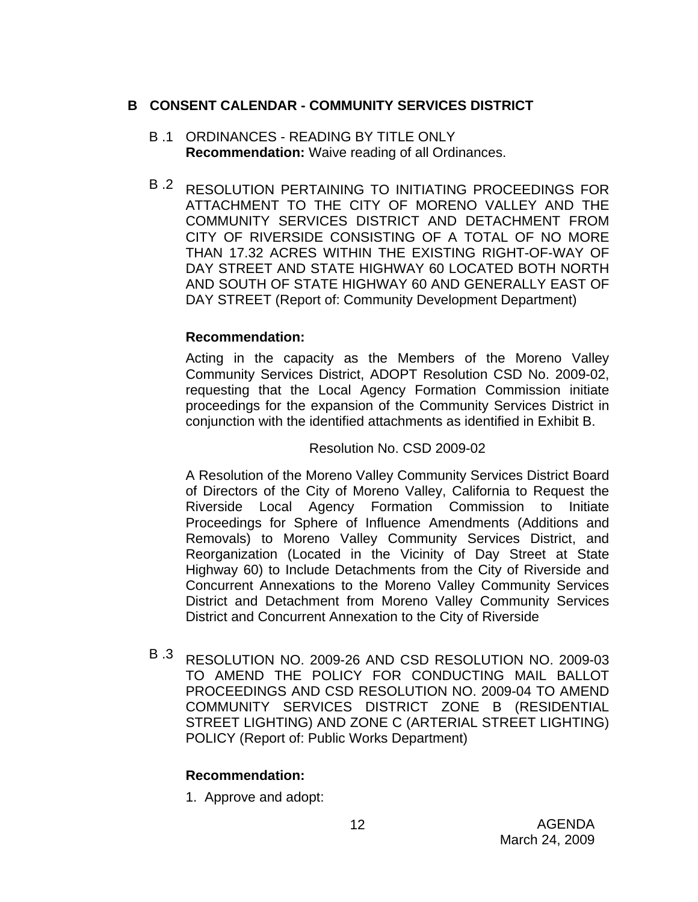# **B CONSENT CALENDAR - COMMUNITY SERVICES DISTRICT**

- B .1 ORDINANCES READING BY TITLE ONLY **Recommendation:** Waive reading of all Ordinances.
- B .2 RESOLUTION PERTAINING TO INITIATING PROCEEDINGS FOR ATTACHMENT TO THE CITY OF MORENO VALLEY AND THE COMMUNITY SERVICES DISTRICT AND DETACHMENT FROM CITY OF RIVERSIDE CONSISTING OF A TOTAL OF NO MORE THAN 17.32 ACRES WITHIN THE EXISTING RIGHT-OF-WAY OF DAY STREET AND STATE HIGHWAY 60 LOCATED BOTH NORTH AND SOUTH OF STATE HIGHWAY 60 AND GENERALLY EAST OF DAY STREET (Report of: Community Development Department)

# **Recommendation:**

Acting in the capacity as the Members of the Moreno Valley Community Services District, ADOPT Resolution CSD No. 2009-02, requesting that the Local Agency Formation Commission initiate proceedings for the expansion of the Community Services District in conjunction with the identified attachments as identified in Exhibit B.

### Resolution No. CSD 2009-02

A Resolution of the Moreno Valley Community Services District Board of Directors of the City of Moreno Valley, California to Request the Riverside Local Agency Formation Commission to Initiate Proceedings for Sphere of Influence Amendments (Additions and Removals) to Moreno Valley Community Services District, and Reorganization (Located in the Vicinity of Day Street at State Highway 60) to Include Detachments from the City of Riverside and Concurrent Annexations to the Moreno Valley Community Services District and Detachment from Moreno Valley Community Services District and Concurrent Annexation to the City of Riverside

B .3 RESOLUTION NO. 2009-26 AND CSD RESOLUTION NO. 2009-03 TO AMEND THE POLICY FOR CONDUCTING MAIL BALLOT PROCEEDINGS AND CSD RESOLUTION NO. 2009-04 TO AMEND COMMUNITY SERVICES DISTRICT ZONE B (RESIDENTIAL STREET LIGHTING) AND ZONE C (ARTERIAL STREET LIGHTING) POLICY (Report of: Public Works Department)

# **Recommendation:**

1. Approve and adopt: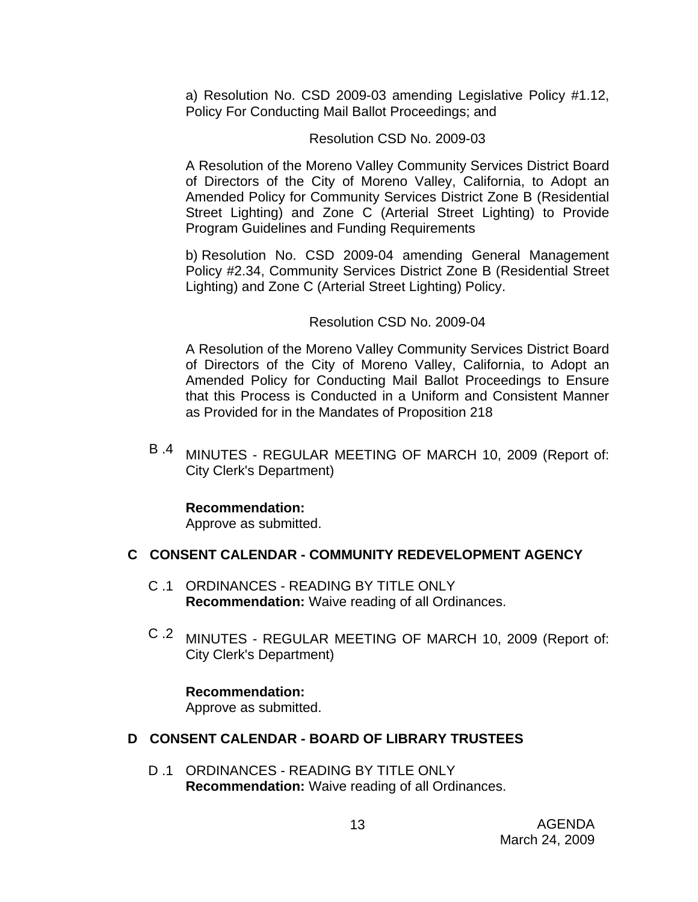a) Resolution No. CSD 2009-03 amending Legislative Policy #1.12, Policy For Conducting Mail Ballot Proceedings; and

# Resolution CSD No. 2009-03

A Resolution of the Moreno Valley Community Services District Board of Directors of the City of Moreno Valley, California, to Adopt an Amended Policy for Community Services District Zone B (Residential Street Lighting) and Zone C (Arterial Street Lighting) to Provide Program Guidelines and Funding Requirements

b) Resolution No. CSD 2009-04 amending General Management Policy #2.34, Community Services District Zone B (Residential Street Lighting) and Zone C (Arterial Street Lighting) Policy.

# Resolution CSD No. 2009-04

A Resolution of the Moreno Valley Community Services District Board of Directors of the City of Moreno Valley, California, to Adopt an Amended Policy for Conducting Mail Ballot Proceedings to Ensure that this Process is Conducted in a Uniform and Consistent Manner as Provided for in the Mandates of Proposition 218

B .4 MINUTES - REGULAR MEETING OF MARCH 10, 2009 (Report of: City Clerk's Department)

# **Recommendation:**

Approve as submitted.

# **C CONSENT CALENDAR - COMMUNITY REDEVELOPMENT AGENCY**

- C .1 ORDINANCES READING BY TITLE ONLY **Recommendation:** Waive reading of all Ordinances.
- C .2 MINUTES REGULAR MEETING OF MARCH 10, 2009 (Report of: City Clerk's Department)

# **Recommendation:**

Approve as submitted.

# **D CONSENT CALENDAR - BOARD OF LIBRARY TRUSTEES**

D .1 ORDINANCES - READING BY TITLE ONLY **Recommendation:** Waive reading of all Ordinances.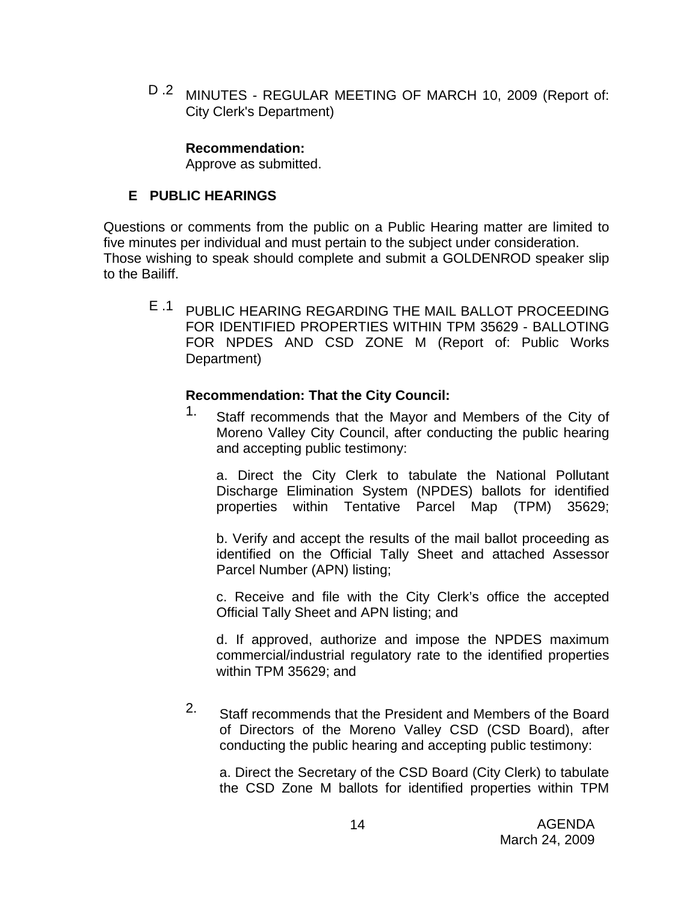D .2 MINUTES - REGULAR MEETING OF MARCH 10, 2009 (Report of: City Clerk's Department)

#### **Recommendation:**

Approve as submitted.

# **E PUBLIC HEARINGS**

Questions or comments from the public on a Public Hearing matter are limited to five minutes per individual and must pertain to the subject under consideration. Those wishing to speak should complete and submit a GOLDENROD speaker slip to the Bailiff.

E .1 PUBLIC HEARING REGARDING THE MAIL BALLOT PROCEEDING FOR IDENTIFIED PROPERTIES WITHIN TPM 35629 - BALLOTING FOR NPDES AND CSD ZONE M (Report of: Public Works Department)

### **Recommendation: That the City Council:**

1. Staff recommends that the Mayor and Members of the City of Moreno Valley City Council, after conducting the public hearing and accepting public testimony:

a. Direct the City Clerk to tabulate the National Pollutant Discharge Elimination System (NPDES) ballots for identified properties within Tentative Parcel Map (TPM) 35629;

b. Verify and accept the results of the mail ballot proceeding as identified on the Official Tally Sheet and attached Assessor Parcel Number (APN) listing;

c. Receive and file with the City Clerk's office the accepted Official Tally Sheet and APN listing; and

d. If approved, authorize and impose the NPDES maximum commercial/industrial regulatory rate to the identified properties within TPM 35629; and

2. Staff recommends that the President and Members of the Board of Directors of the Moreno Valley CSD (CSD Board), after conducting the public hearing and accepting public testimony:

a. Direct the Secretary of the CSD Board (City Clerk) to tabulate the CSD Zone M ballots for identified properties within TPM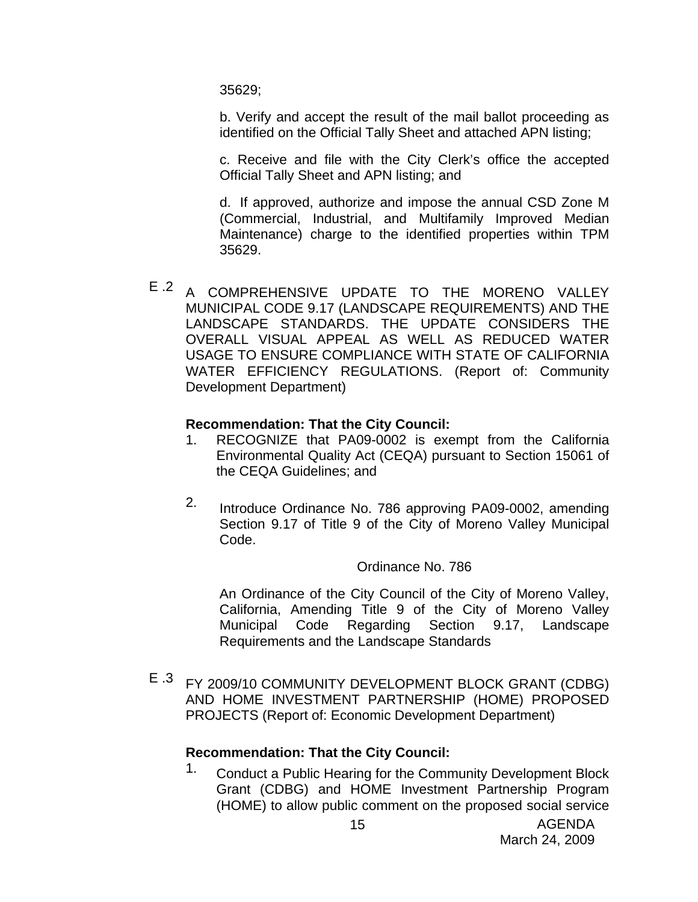35629;

b. Verify and accept the result of the mail ballot proceeding as identified on the Official Tally Sheet and attached APN listing;

c. Receive and file with the City Clerk's office the accepted Official Tally Sheet and APN listing; and

d. If approved, authorize and impose the annual CSD Zone M (Commercial, Industrial, and Multifamily Improved Median Maintenance) charge to the identified properties within TPM 35629.

E .2 A COMPREHENSIVE UPDATE TO THE MORENO VALLEY MUNICIPAL CODE 9.17 (LANDSCAPE REQUIREMENTS) AND THE LANDSCAPE STANDARDS. THE UPDATE CONSIDERS THE OVERALL VISUAL APPEAL AS WELL AS REDUCED WATER USAGE TO ENSURE COMPLIANCE WITH STATE OF CALIFORNIA WATER EFFICIENCY REGULATIONS. (Report of: Community Development Department)

### **Recommendation: That the City Council:**

- 1. RECOGNIZE that PA09-0002 is exempt from the California Environmental Quality Act (CEQA) pursuant to Section 15061 of the CEQA Guidelines; and
- 2. Introduce Ordinance No. 786 approving PA09-0002, amending Section 9.17 of Title 9 of the City of Moreno Valley Municipal Code.

#### Ordinance No. 786

An Ordinance of the City Council of the City of Moreno Valley, California, Amending Title 9 of the City of Moreno Valley Municipal Code Regarding Section 9.17, Landscape Requirements and the Landscape Standards

E .3 FY 2009/10 COMMUNITY DEVELOPMENT BLOCK GRANT (CDBG) AND HOME INVESTMENT PARTNERSHIP (HOME) PROPOSED PROJECTS (Report of: Economic Development Department)

# **Recommendation: That the City Council:**

1. Conduct a Public Hearing for the Community Development Block Grant (CDBG) and HOME Investment Partnership Program (HOME) to allow public comment on the proposed social service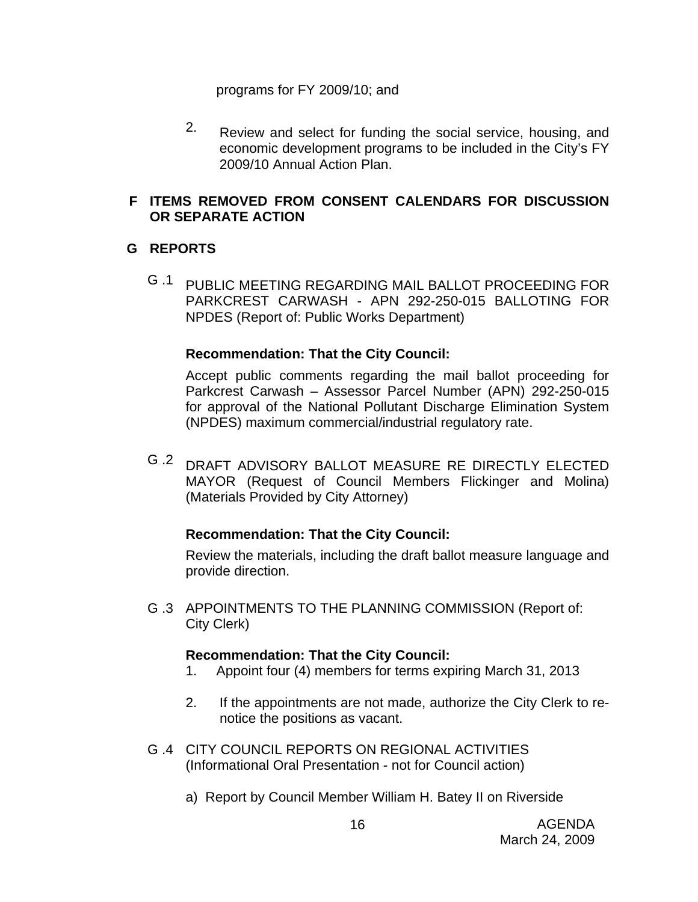programs for FY 2009/10; and

2. Review and select for funding the social service, housing, and economic development programs to be included in the City's FY 2009/10 Annual Action Plan.

# **F ITEMS REMOVED FROM CONSENT CALENDARS FOR DISCUSSION OR SEPARATE ACTION**

# **G REPORTS**

G .1 PUBLIC MEETING REGARDING MAIL BALLOT PROCEEDING FOR PARKCREST CARWASH - APN 292-250-015 BALLOTING FOR NPDES (Report of: Public Works Department)

# **Recommendation: That the City Council:**

Accept public comments regarding the mail ballot proceeding for Parkcrest Carwash – Assessor Parcel Number (APN) 292-250-015 for approval of the National Pollutant Discharge Elimination System (NPDES) maximum commercial/industrial regulatory rate.

G .2 DRAFT ADVISORY BALLOT MEASURE RE DIRECTLY ELECTED MAYOR (Request of Council Members Flickinger and Molina) (Materials Provided by City Attorney)

# **Recommendation: That the City Council:**

Review the materials, including the draft ballot measure language and provide direction.

G .3 APPOINTMENTS TO THE PLANNING COMMISSION (Report of: City Clerk)

# **Recommendation: That the City Council:**

- 1. Appoint four (4) members for terms expiring March 31, 2013
- 2. If the appointments are not made, authorize the City Clerk to renotice the positions as vacant.
- G .4 CITY COUNCIL REPORTS ON REGIONAL ACTIVITIES (Informational Oral Presentation - not for Council action)
	- a) Report by Council Member William H. Batey II on Riverside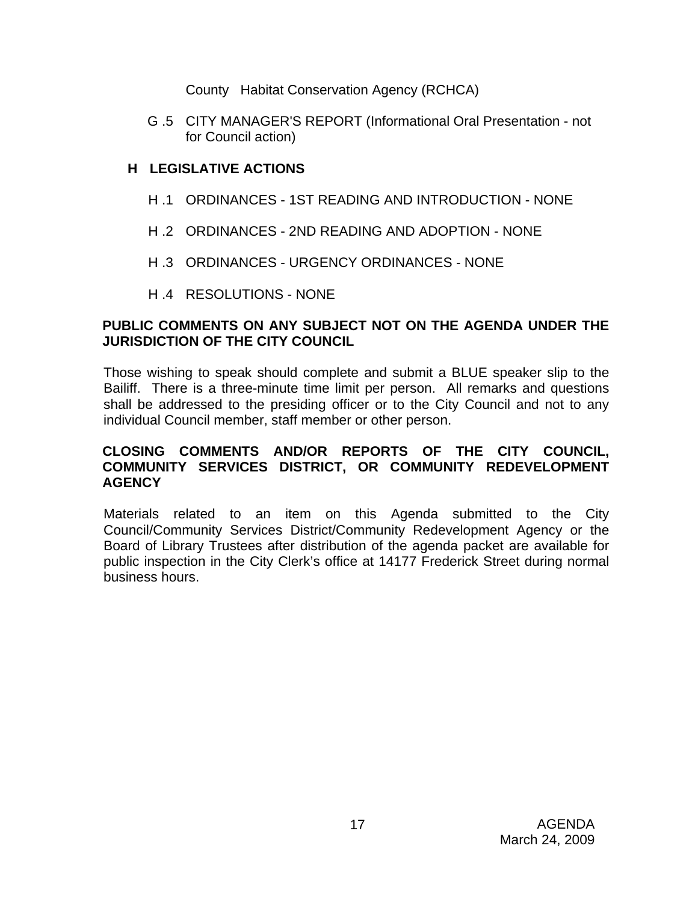County Habitat Conservation Agency (RCHCA)

G .5 CITY MANAGER'S REPORT (Informational Oral Presentation - not for Council action)

# **H LEGISLATIVE ACTIONS**

- H .1 ORDINANCES 1ST READING AND INTRODUCTION NONE
- H .2 ORDINANCES 2ND READING AND ADOPTION NONE
- H .3 ORDINANCES URGENCY ORDINANCES NONE
- H .4 RESOLUTIONS NONE

# **PUBLIC COMMENTS ON ANY SUBJECT NOT ON THE AGENDA UNDER THE JURISDICTION OF THE CITY COUNCIL**

Those wishing to speak should complete and submit a BLUE speaker slip to the Bailiff. There is a three-minute time limit per person. All remarks and questions shall be addressed to the presiding officer or to the City Council and not to any individual Council member, staff member or other person.

# **CLOSING COMMENTS AND/OR REPORTS OF THE CITY COUNCIL, COMMUNITY SERVICES DISTRICT, OR COMMUNITY REDEVELOPMENT AGENCY**

Materials related to an item on this Agenda submitted to the City Council/Community Services District/Community Redevelopment Agency or the Board of Library Trustees after distribution of the agenda packet are available for public inspection in the City Clerk's office at 14177 Frederick Street during normal business hours.